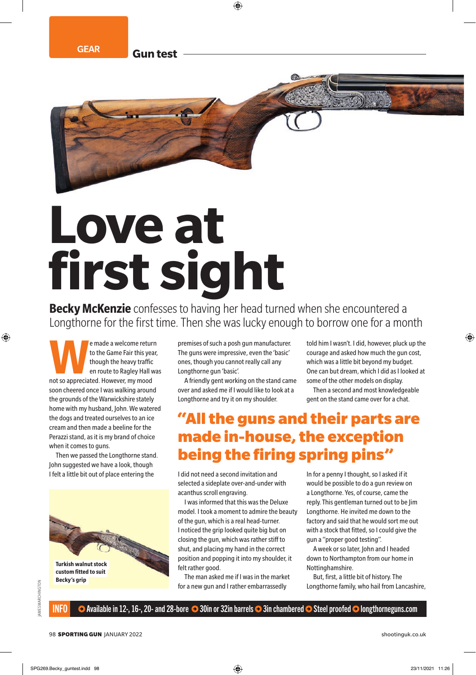GEAR **Gun test**

# **Love at fi rst sight**

**Becky McKenzie** confesses to having her head turned when she encountered a Longthorne for the first time. Then she was lucky enough to borrow one for a month

**WE made a welcome return**<br>
to the Game Fair this year,<br>
though the heavy traffic<br>
en route to Ragley Hall was<br>
not so appreciated. However, my mood to the Game Fair this year, though the heavy traffic en route to Ragley Hall was soon cheered once I was walking around the grounds of the Warwickshire stately home with my husband, John. We watered the dogs and treated ourselves to an ice cream and then made a beeline for the Perazzi stand, as it is my brand of choice when it comes to guns.

Then we passed the Longthorne stand. John suggested we have a look, though I felt a little bit out of place entering the



premises of such a posh gun manufacturer. The guns were impressive, even the 'basic' ones, though you cannot really call any Longthorne gun 'basic'.

A friendly gent working on the stand came over and asked me if I would like to look at a Longthorne and try it on my shoulder.

told him I wasn't. I did, however, pluck up the courage and asked how much the gun cost, which was a little bit beyond my budget. One can but dream, which I did as I looked at some of the other models on display.

Then a second and most knowledgeable gent on the stand came over for a chat.

# "All the guns and their parts are made in-house, the exception being the firing spring pins"

I did not need a second invitation and selected a sideplate over-and-under with acanthus scroll engraving.

I was informed that this was the Deluxe model. I took a moment to admire the beauty of the gun, which is a real head-turner. I noticed the grip looked quite big but on closing the gun, which was rather stiff to shut, and placing my hand in the correct position and popping it into my shoulder, it felt rather good.

The man asked me if I was in the market for a new gun and I rather embarrassedly

In for a penny I thought, so I asked if it would be possible to do a gun review on a Longthorne. Yes, of course, came the reply. This gentleman turned out to be Jim Longthorne. He invited me down to the factory and said that he would sort me out with a stock that fitted, so I could give the gun a "proper good testing".

A week or so later, John and I headed down to Northampton from our home in Nottinghamshire.

But, first, a little bit of history. The Longthorne family, who hail from Lancashire,

JAMES MARCHINGTON

AMES MARCHINGTON

 $\bullet$  Available in 12-, 16-, 20- and 28-bore  $\bullet$  30in or 32in barrels  $\bullet$  3in chambered  $\bullet$  Steel proofed  $\bullet$  longthorneguns.com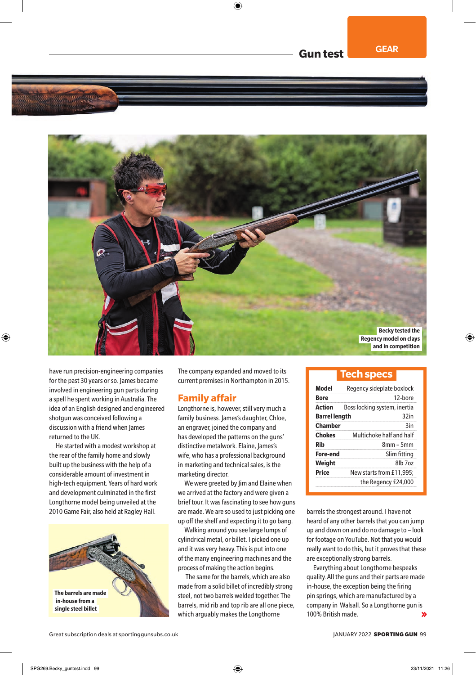

have run precision-engineering companies for the past 30 years or so. James became involved in engineering gun parts during a spell he spent working in Australia. The idea of an English designed and engineered shotgun was conceived following a discussion with a friend when James returned to the UK.

He started with a modest workshop at the rear of the family home and slowly built up the business with the help of a considerable amount of investment in high-tech equipment. Years of hard work and development culminated in the first Longthorne model being unveiled at the 2010 Game Fair, also held at Ragley Hall.



The company expanded and moved to its current premises in Northampton in 2015.

## **Family affair**

Longthorne is, however, still very much a family business. James's daughter, Chloe, an engraver, joined the company and has developed the patterns on the guns' distinctive metalwork. Elaine, James's wife, who has a professional background in marketing and technical sales, is the marketing director.

We were greeted by Jim and Elaine when we arrived at the factory and were given a brief tour. It was fascinating to see how guns are made. We are so used to just picking one up off the shelf and expecting it to go bang.

Walking around you see large lumps of cylindrical metal, or billet. I picked one up and it was very heavy. This is put into one of the many engineering machines and the process of making the action begins.

 The same for the barrels, which are also made from a solid billet of incredibly strong steel, not two barrels welded together. The barrels, mid rib and top rib are all one piece, which arguably makes the Longthorne

## **Tech specs**

| Model                | Regency sideplate boxlock    |
|----------------------|------------------------------|
| Bore                 | 12-bore                      |
| <b>Action</b>        | Boss locking system, inertia |
| <b>Barrel length</b> | 32 <sub>in</sub>             |
| <b>Chamber</b>       | 3in                          |
| <b>Chokes</b>        | Multichoke half and half     |
| Rih                  | $8mm - 5mm$                  |
| Fore-end             | Slim fitting                 |
| Weight               | 8lb 7oz                      |
| Price                | New starts from £11,995;     |
|                      | the Regency £24,000          |
|                      |                              |

barrels the strongest around. I have not heard of any other barrels that you can jump up and down on and do no damage to – look for footage on YouTube. Not that you would really want to do this, but it proves that these are exceptionally strong barrels.

Everything about Longthorne bespeaks quality. All the guns and their parts are made in-house, the exception being the firing pin springs, which are manufactured by a company in Walsall. So a Longthorne gun is 100% British made.